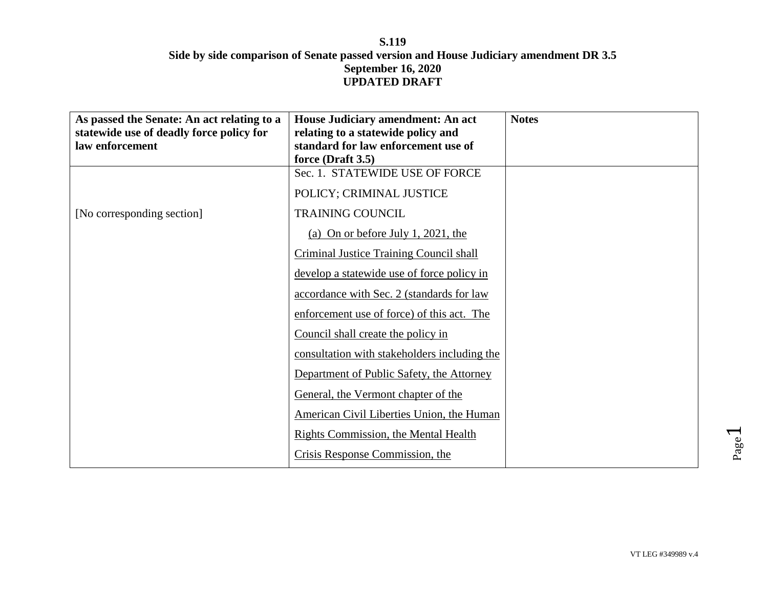| As passed the Senate: An act relating to a<br>statewide use of deadly force policy for<br>law enforcement | House Judiciary amendment: An act<br>relating to a statewide policy and<br>standard for law enforcement use of<br>force (Draft 3.5) | <b>Notes</b> |
|-----------------------------------------------------------------------------------------------------------|-------------------------------------------------------------------------------------------------------------------------------------|--------------|
|                                                                                                           | Sec. 1. STATEWIDE USE OF FORCE                                                                                                      |              |
|                                                                                                           | POLICY; CRIMINAL JUSTICE                                                                                                            |              |
| [No corresponding section]                                                                                | <b>TRAINING COUNCIL</b>                                                                                                             |              |
|                                                                                                           | (a) On or before July 1, 2021, the                                                                                                  |              |
|                                                                                                           | <b>Criminal Justice Training Council shall</b>                                                                                      |              |
|                                                                                                           | develop a statewide use of force policy in                                                                                          |              |
|                                                                                                           | accordance with Sec. 2 (standards for law                                                                                           |              |
|                                                                                                           | enforcement use of force) of this act. The                                                                                          |              |
|                                                                                                           | Council shall create the policy in                                                                                                  |              |
|                                                                                                           | consultation with stakeholders including the                                                                                        |              |
|                                                                                                           | Department of Public Safety, the Attorney                                                                                           |              |
|                                                                                                           | General, the Vermont chapter of the                                                                                                 |              |
|                                                                                                           | American Civil Liberties Union, the Human                                                                                           |              |
|                                                                                                           | <b>Rights Commission, the Mental Health</b>                                                                                         |              |
|                                                                                                           | Crisis Response Commission, the                                                                                                     |              |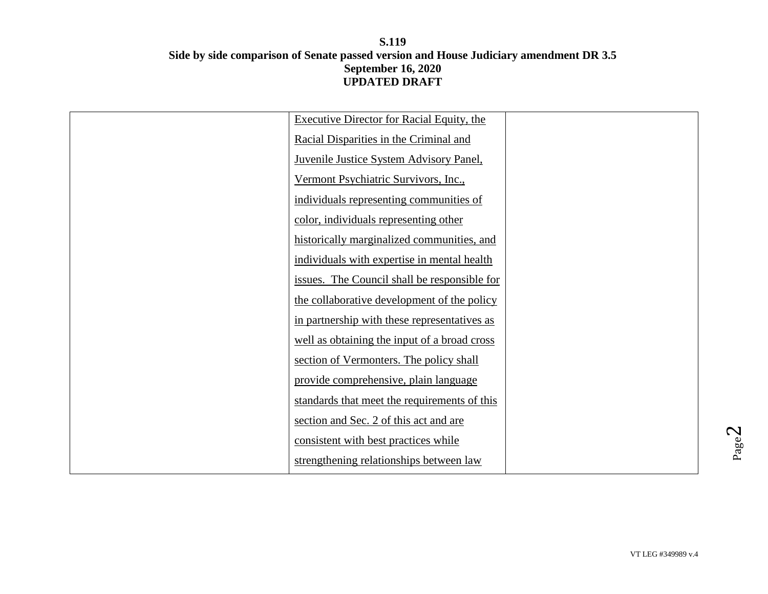| Executive Director for Racial Equity, the      |  |
|------------------------------------------------|--|
| Racial Disparities in the Criminal and         |  |
| <b>Juvenile Justice System Advisory Panel,</b> |  |
| Vermont Psychiatric Survivors, Inc.,           |  |
| individuals representing communities of        |  |
| color, individuals representing other          |  |
| historically marginalized communities, and     |  |
| individuals with expertise in mental health    |  |
| issues. The Council shall be responsible for   |  |
| the collaborative development of the policy    |  |
| in partnership with these representatives as   |  |
| well as obtaining the input of a broad cross   |  |
| section of Vermonters. The policy shall        |  |
| provide comprehensive, plain language          |  |
| standards that meet the requirements of this   |  |
| section and Sec. 2 of this act and are         |  |
| consistent with best practices while           |  |
| strengthening relationships between law        |  |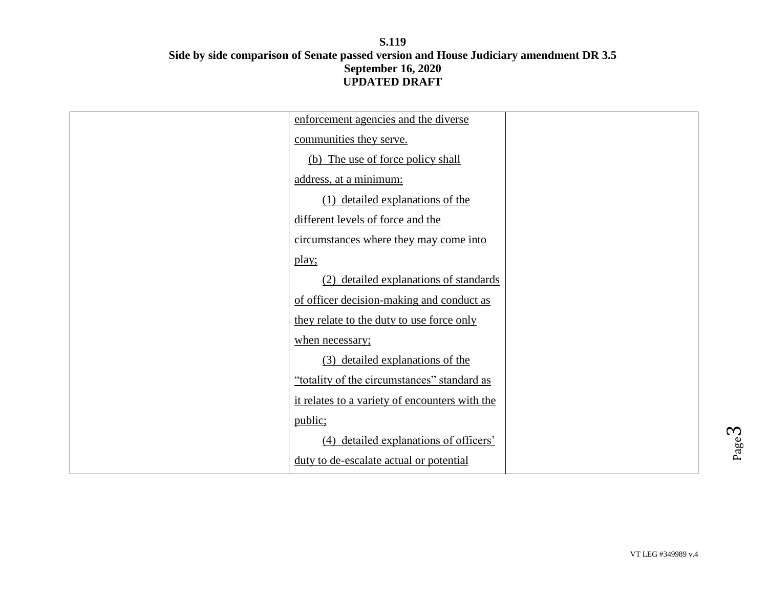| enforcement agencies and the diverse           |  |
|------------------------------------------------|--|
| communities they serve.                        |  |
| (b) The use of force policy shall              |  |
| address, at a minimum:                         |  |
| (1) detailed explanations of the               |  |
| different levels of force and the              |  |
| circumstances where they may come into         |  |
| play;                                          |  |
| (2) detailed explanations of standards         |  |
| of officer decision-making and conduct as      |  |
| they relate to the duty to use force only      |  |
| when necessary;                                |  |
| (3) detailed explanations of the               |  |
| "totality of the circumstances" standard as    |  |
| it relates to a variety of encounters with the |  |
| public;                                        |  |
| (4) detailed explanations of officers'         |  |
| duty to de-escalate actual or potential        |  |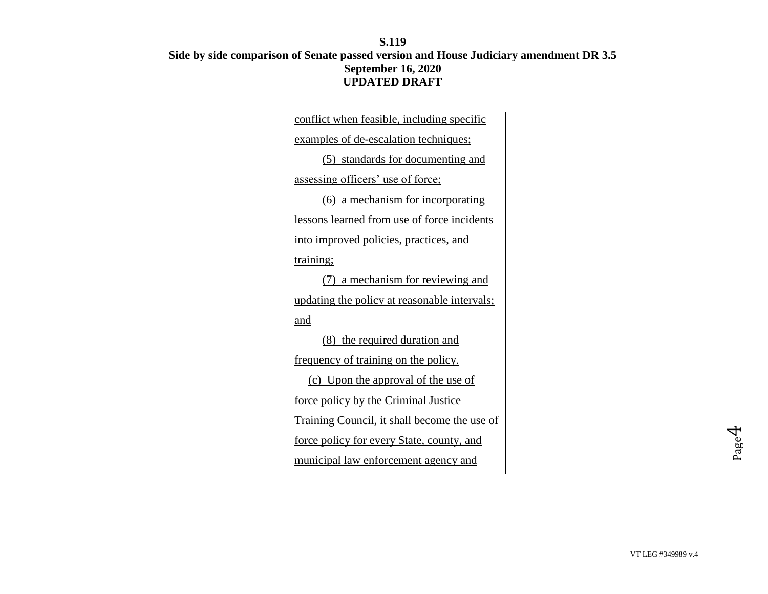| conflict when feasible, including specific   |  |
|----------------------------------------------|--|
| examples of de-escalation techniques:        |  |
| (5) standards for documenting and            |  |
| assessing officers' use of force;            |  |
| (6) a mechanism for incorporating            |  |
| lessons learned from use of force incidents  |  |
| into improved policies, practices, and       |  |
| training;                                    |  |
| (7) a mechanism for reviewing and            |  |
| updating the policy at reasonable intervals; |  |
| and                                          |  |
| (8) the required duration and                |  |
| frequency of training on the policy.         |  |
| (c) Upon the approval of the use of          |  |
| force policy by the Criminal Justice         |  |
| Training Council, it shall become the use of |  |
| force policy for every State, county, and    |  |
| municipal law enforcement agency and         |  |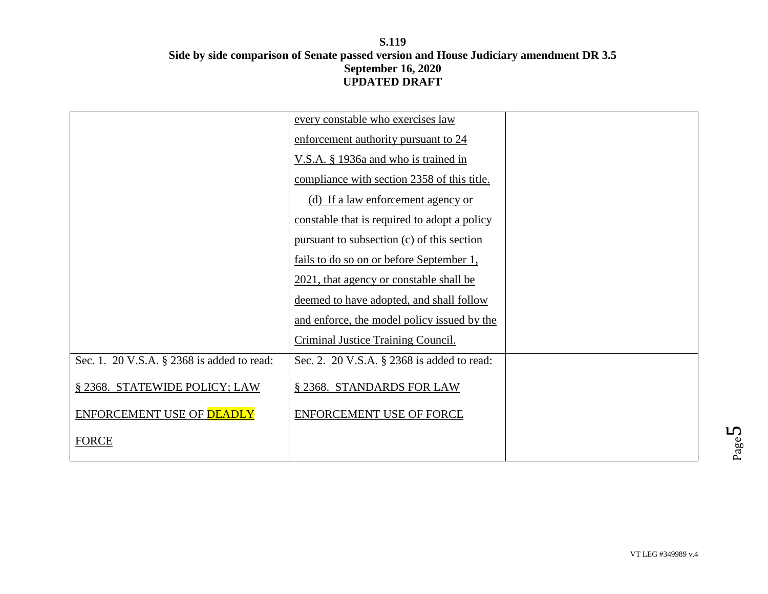| every constable who exercises law            |  |
|----------------------------------------------|--|
| enforcement authority pursuant to 24         |  |
| V.S.A. § 1936a and who is trained in         |  |
| compliance with section 2358 of this title.  |  |
| (d) If a law enforcement agency or           |  |
| constable that is required to adopt a policy |  |
| pursuant to subsection (c) of this section   |  |
| fails to do so on or before September 1,     |  |
| 2021, that agency or constable shall be      |  |
| deemed to have adopted, and shall follow     |  |
| and enforce, the model policy issued by the  |  |
| Criminal Justice Training Council.           |  |
| Sec. 2. 20 V.S.A. § 2368 is added to read:   |  |
| § 2368. STANDARDS FOR LAW                    |  |
| ENFORCEMENT USE OF FORCE                     |  |
|                                              |  |
|                                              |  |

Page L∩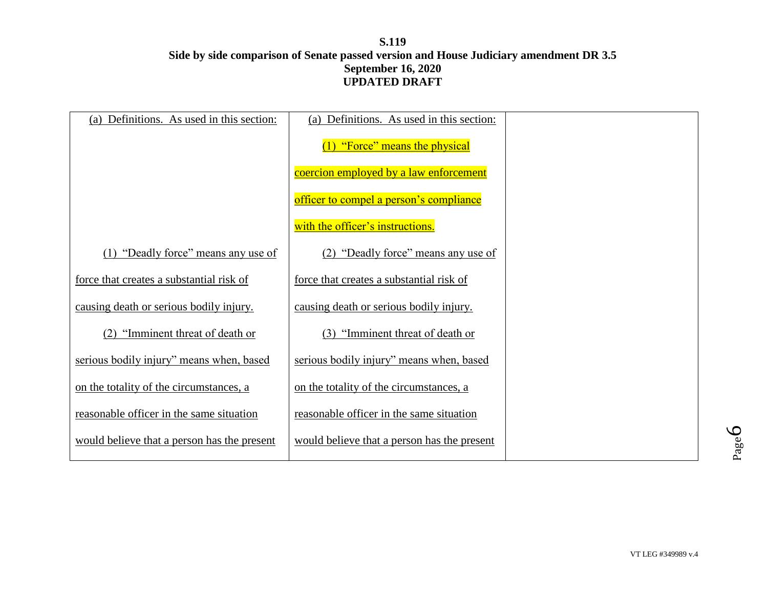| Definitions. As used in this section:<br>(a) | (a) Definitions. As used in this section:   |  |
|----------------------------------------------|---------------------------------------------|--|
|                                              | (1) "Force" means the physical              |  |
|                                              | coercion employed by a law enforcement      |  |
|                                              | officer to compel a person's compliance     |  |
|                                              | with the officer's instructions.            |  |
| "Deadly force" means any use of              | (2) "Deadly force" means any use of         |  |
| force that creates a substantial risk of     | force that creates a substantial risk of    |  |
| causing death or serious bodily injury.      | causing death or serious bodily injury.     |  |
| "Imminent threat of death or                 | (3) "Imminent threat of death or            |  |
| serious bodily injury" means when, based     | serious bodily injury" means when, based    |  |
| on the totality of the circumstances, a      | on the totality of the circumstances, a     |  |
| reasonable officer in the same situation     | reasonable officer in the same situation    |  |
| would believe that a person has the present  | would believe that a person has the present |  |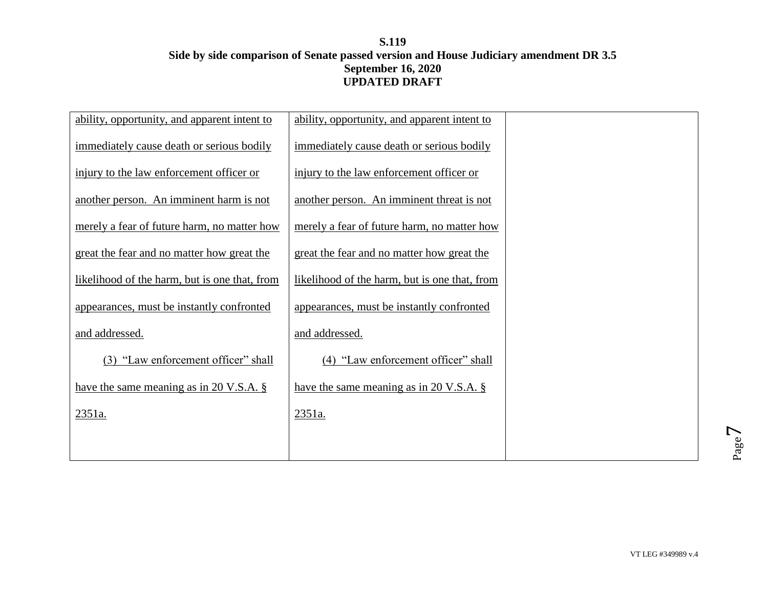| ability, opportunity, and apparent intent to  | ability, opportunity, and apparent intent to  |  |
|-----------------------------------------------|-----------------------------------------------|--|
| immediately cause death or serious bodily     | immediately cause death or serious bodily     |  |
| injury to the law enforcement officer or      | injury to the law enforcement officer or      |  |
| another person. An imminent harm is not       | another person. An imminent threat is not     |  |
| merely a fear of future harm, no matter how   | merely a fear of future harm, no matter how   |  |
| great the fear and no matter how great the    | great the fear and no matter how great the    |  |
| likelihood of the harm, but is one that, from | likelihood of the harm, but is one that, from |  |
| appearances, must be instantly confronted     | appearances, must be instantly confronted     |  |
| and addressed.                                | and addressed.                                |  |
| (3) "Law enforcement officer" shall           | (4) "Law enforcement officer" shall           |  |
| have the same meaning as in 20 V.S.A. $\S$    | have the same meaning as in 20 V.S.A. $\S$    |  |
| 2351a.                                        | 2351a.                                        |  |
|                                               |                                               |  |
|                                               |                                               |  |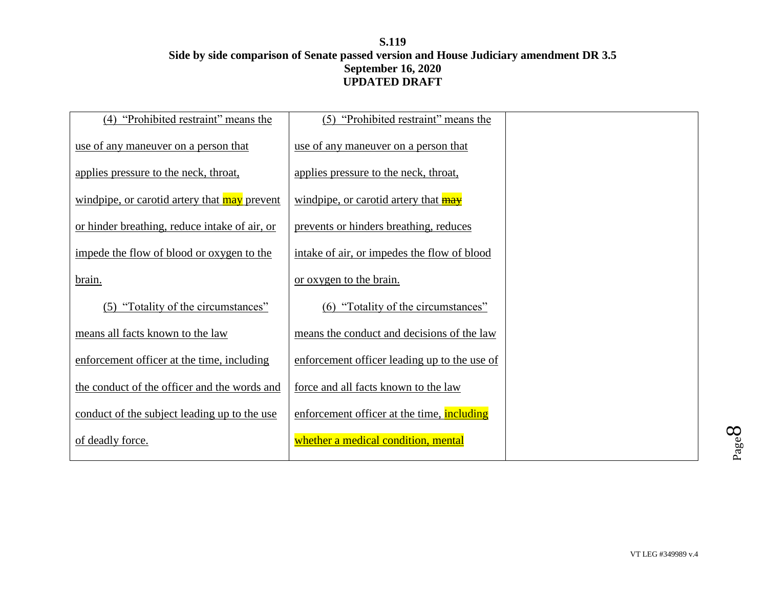| "Prohibited restraint" means the<br>(4)       | (5) "Prohibited restraint" means the         |  |
|-----------------------------------------------|----------------------------------------------|--|
|                                               |                                              |  |
| use of any maneuver on a person that          | use of any maneuver on a person that         |  |
| applies pressure to the neck, throat,         | applies pressure to the neck, throat,        |  |
| windpipe, or carotid artery that may prevent  | windpipe, or carotid artery that <b>may</b>  |  |
| or hinder breathing, reduce intake of air, or | prevents or hinders breathing, reduces       |  |
| impede the flow of blood or oxygen to the     | intake of air, or impedes the flow of blood  |  |
| brain.                                        | or oxygen to the brain.                      |  |
| "Totality of the circumstances"<br>(5)        | (6) "Totality of the circumstances"          |  |
| means all facts known to the law              | means the conduct and decisions of the law   |  |
| enforcement officer at the time, including    | enforcement officer leading up to the use of |  |
| the conduct of the officer and the words and  | force and all facts known to the law         |  |
| conduct of the subject leading up to the use  | enforcement officer at the time, including   |  |
| of deadly force.                              | whether a medical condition, mental          |  |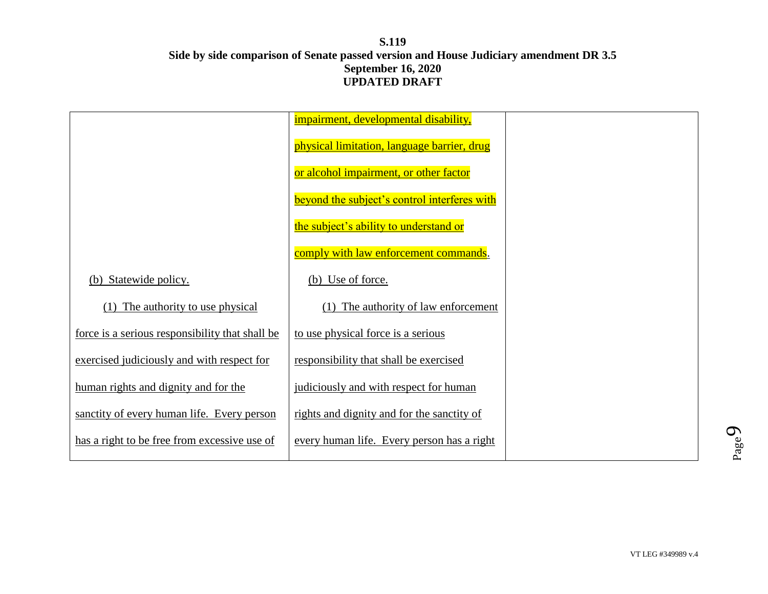|                                                 | impairment, developmental disability,        |  |
|-------------------------------------------------|----------------------------------------------|--|
|                                                 | physical limitation, language barrier, drug  |  |
|                                                 | or alcohol impairment, or other factor       |  |
|                                                 | beyond the subject's control interferes with |  |
|                                                 | the subject's ability to understand or       |  |
|                                                 | comply with law enforcement commands.        |  |
| (b) Statewide policy.                           | (b) Use of force.                            |  |
| The authority to use physical                   | The authority of law enforcement             |  |
| force is a serious responsibility that shall be | to use physical force is a serious           |  |
| exercised judiciously and with respect for      | responsibility that shall be exercised       |  |
| human rights and dignity and for the            | judiciously and with respect for human       |  |
| sanctity of every human life. Every person      | rights and dignity and for the sanctity of   |  |
| has a right to be free from excessive use of    | every human life. Every person has a right   |  |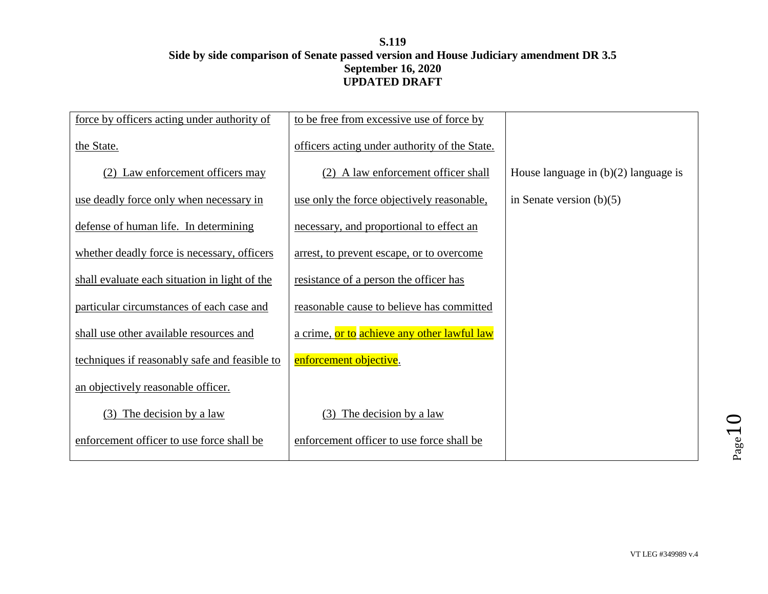| force by officers acting under authority of   | to be free from excessive use of force by     |                                        |
|-----------------------------------------------|-----------------------------------------------|----------------------------------------|
| the State.                                    | officers acting under authority of the State. |                                        |
| (2) Law enforcement officers may              | (2) A law enforcement officer shall           | House language in $(b)(2)$ language is |
| use deadly force only when necessary in       | use only the force objectively reasonable,    | in Senate version $(b)(5)$             |
| defense of human life. In determining         | necessary, and proportional to effect an      |                                        |
| whether deadly force is necessary, officers   | arrest, to prevent escape, or to overcome     |                                        |
| shall evaluate each situation in light of the | resistance of a person the officer has        |                                        |
| particular circumstances of each case and     | reasonable cause to believe has committed     |                                        |
| shall use other available resources and       | a crime, or to achieve any other lawful law   |                                        |
| techniques if reasonably safe and feasible to | enforcement objective.                        |                                        |
| an objectively reasonable officer.            |                                               |                                        |
| The decision by a law<br>(3)                  | $(3)$ The decision by a law                   |                                        |
| enforcement officer to use force shall be     | enforcement officer to use force shall be     |                                        |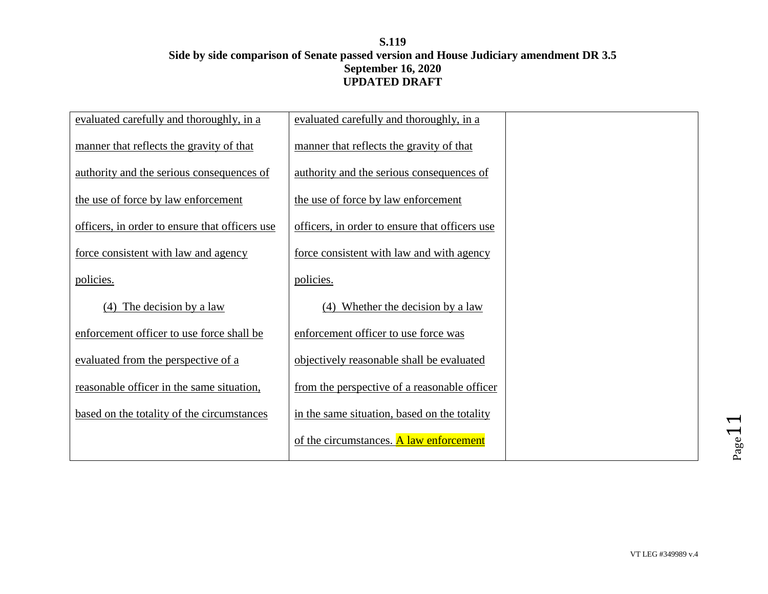| evaluated carefully and thoroughly, in a       | evaluated carefully and thoroughly, in a       |  |
|------------------------------------------------|------------------------------------------------|--|
| manner that reflects the gravity of that       | manner that reflects the gravity of that       |  |
| authority and the serious consequences of      | authority and the serious consequences of      |  |
| the use of force by law enforcement            | the use of force by law enforcement            |  |
| officers, in order to ensure that officers use | officers, in order to ensure that officers use |  |
| force consistent with law and agency           | force consistent with law and with agency      |  |
| policies.                                      | policies.                                      |  |
| $(4)$ The decision by a law                    | (4) Whether the decision by a law              |  |
| enforcement officer to use force shall be      | enforcement officer to use force was           |  |
| evaluated from the perspective of a            | objectively reasonable shall be evaluated      |  |
| reasonable officer in the same situation,      | from the perspective of a reasonable officer   |  |
| based on the totality of the circumstances     | in the same situation, based on the totality   |  |
|                                                | of the circumstances. A law enforcement        |  |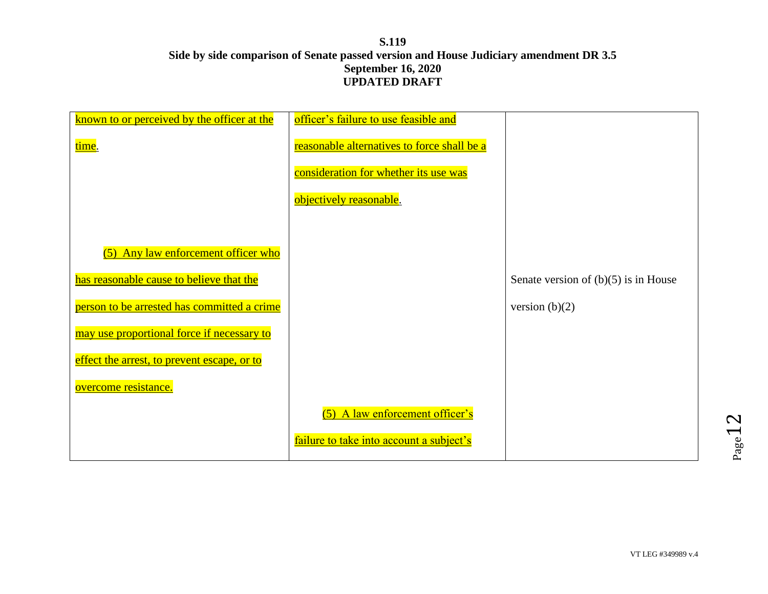| known to or perceived by the officer at the | officer's failure to use feasible and       |                                        |
|---------------------------------------------|---------------------------------------------|----------------------------------------|
| time.                                       | reasonable alternatives to force shall be a |                                        |
|                                             | consideration for whether its use was       |                                        |
|                                             | objectively reasonable.                     |                                        |
|                                             |                                             |                                        |
| (5) Any law enforcement officer who         |                                             |                                        |
| has reasonable cause to believe that the    |                                             | Senate version of $(b)(5)$ is in House |
| person to be arrested has committed a crime |                                             | version $(b)(2)$                       |
| may use proportional force if necessary to  |                                             |                                        |
| effect the arrest, to prevent escape, or to |                                             |                                        |
| overcome resistance.                        |                                             |                                        |
|                                             | (5) A law enforcement officer's             |                                        |
|                                             | failure to take into account a subject's    |                                        |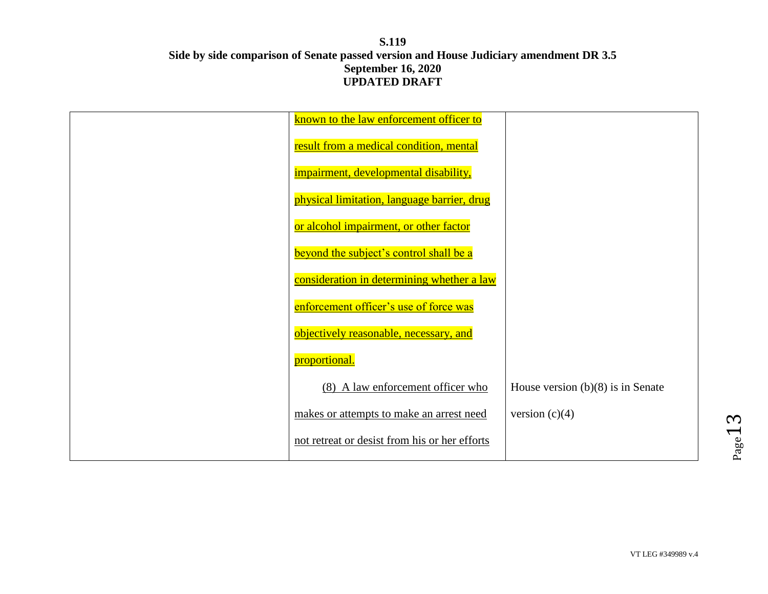| known to the law enforcement officer to       |                                     |
|-----------------------------------------------|-------------------------------------|
| result from a medical condition, mental       |                                     |
| impairment, developmental disability,         |                                     |
| physical limitation, language barrier, drug   |                                     |
| or alcohol impairment, or other factor        |                                     |
| beyond the subject's control shall be a       |                                     |
| consideration in determining whether a law    |                                     |
| enforcement officer's use of force was        |                                     |
| objectively reasonable, necessary, and        |                                     |
| proportional.                                 |                                     |
| (8) A law enforcement officer who             | House version $(b)(8)$ is in Senate |
| makes or attempts to make an arrest need      | version $(c)(4)$                    |
| not retreat or desist from his or her efforts |                                     |
|                                               |                                     |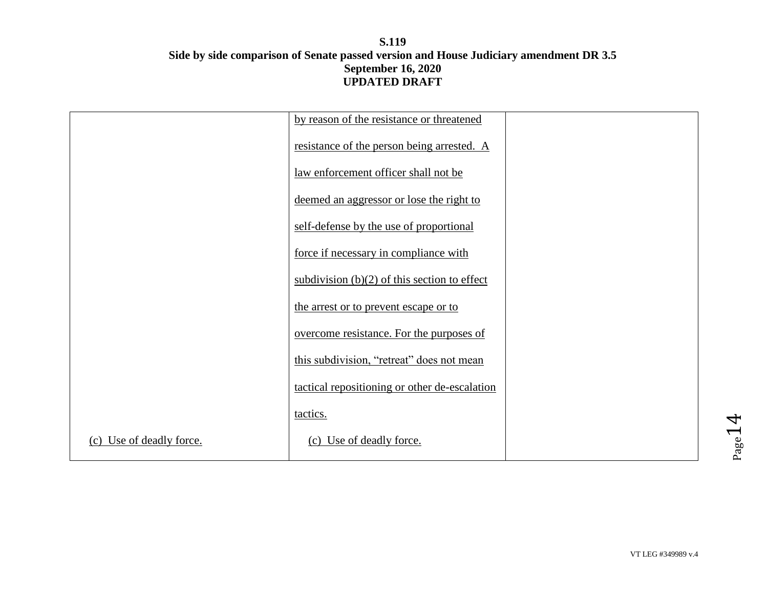|                          | by reason of the resistance or threatened      |  |
|--------------------------|------------------------------------------------|--|
|                          | resistance of the person being arrested. A     |  |
|                          | law enforcement officer shall not be           |  |
|                          | deemed an aggressor or lose the right to       |  |
|                          | self-defense by the use of proportional        |  |
|                          | force if necessary in compliance with          |  |
|                          | subdivision $(b)(2)$ of this section to effect |  |
|                          | the arrest or to prevent escape or to          |  |
|                          | overcome resistance. For the purposes of       |  |
|                          | this subdivision, "retreat" does not mean      |  |
|                          | tactical repositioning or other de-escalation  |  |
|                          | tactics.                                       |  |
| (c) Use of deadly force. | (c) Use of deadly force.                       |  |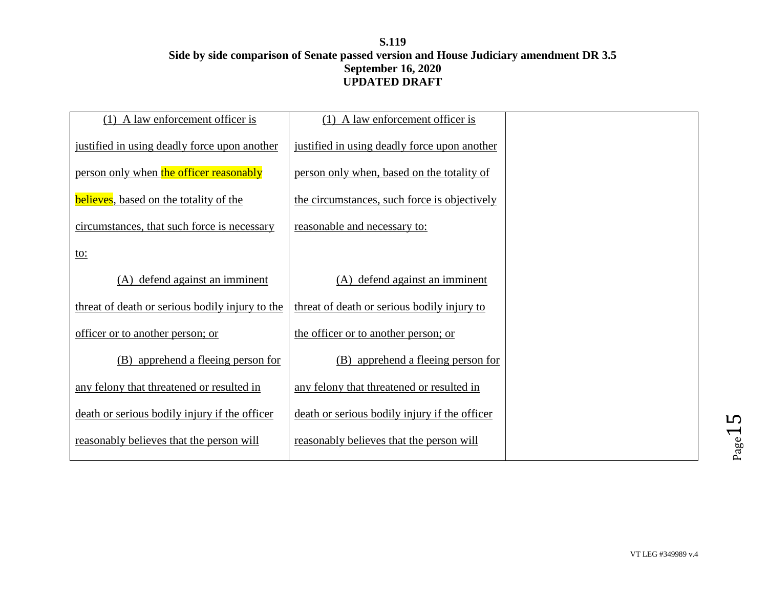| A law enforcement officer is<br>(1)             | $(1)$ A law enforcement officer is            |  |
|-------------------------------------------------|-----------------------------------------------|--|
| justified in using deadly force upon another    | justified in using deadly force upon another  |  |
| person only when the officer reasonably         | person only when, based on the totality of    |  |
| <b>believes</b> , based on the totality of the  | the circumstances, such force is objectively  |  |
| circumstances, that such force is necessary     | reasonable and necessary to:                  |  |
| <u>to:</u>                                      |                                               |  |
| (A) defend against an imminent                  | (A) defend against an imminent                |  |
| threat of death or serious bodily injury to the | threat of death or serious bodily injury to   |  |
| officer or to another person; or                | the officer or to another person; or          |  |
| (B) apprehend a fleeing person for              | (B) apprehend a fleeing person for            |  |
| any felony that threatened or resulted in       | any felony that threatened or resulted in     |  |
| death or serious bodily injury if the officer   | death or serious bodily injury if the officer |  |
| reasonably believes that the person will        | reasonably believes that the person will      |  |
|                                                 |                                               |  |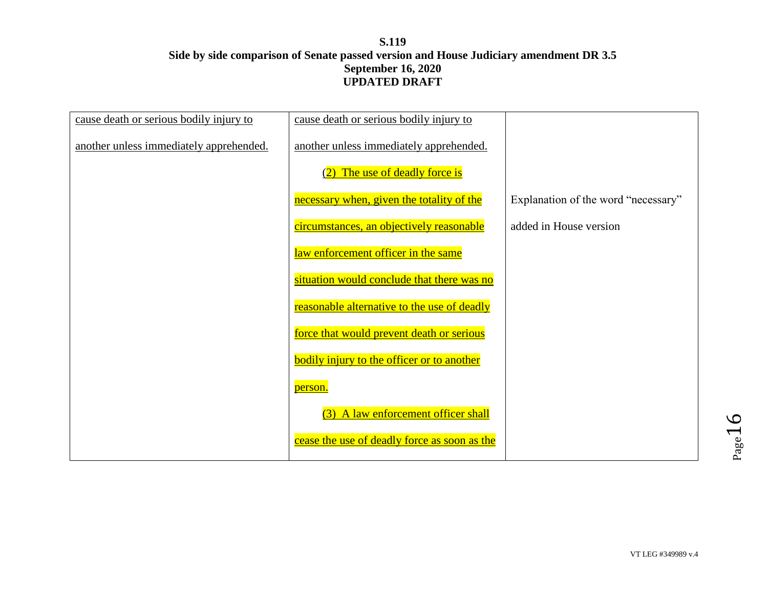| cause death or serious bodily injury to | cause death or serious bodily injury to           |                                     |
|-----------------------------------------|---------------------------------------------------|-------------------------------------|
| another unless immediately apprehended. | another unless immediately apprehended.           |                                     |
|                                         | The use of deadly force is                        |                                     |
|                                         | necessary when, given the totality of the         | Explanation of the word "necessary" |
|                                         | circumstances, an objectively reasonable          | added in House version              |
|                                         | law enforcement officer in the same               |                                     |
|                                         | situation would conclude that there was no        |                                     |
|                                         | reasonable alternative to the use of deadly       |                                     |
|                                         | force that would prevent death or serious         |                                     |
|                                         | <b>bodily injury to the officer or to another</b> |                                     |
|                                         | person.                                           |                                     |
|                                         | (3) A law enforcement officer shall               |                                     |
|                                         | cease the use of deadly force as soon as the      |                                     |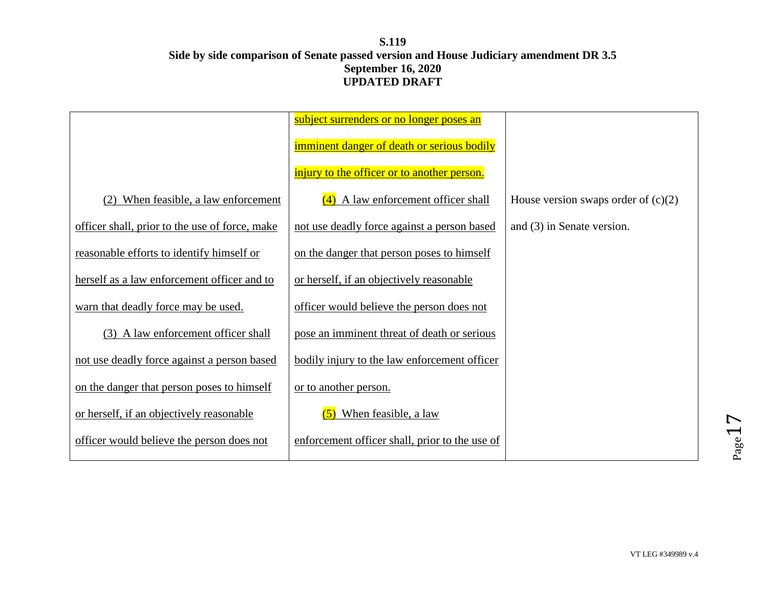|                                                | subject surrenders or no longer poses an       |                                       |
|------------------------------------------------|------------------------------------------------|---------------------------------------|
|                                                | imminent danger of death or serious bodily     |                                       |
|                                                | injury to the officer or to another person.    |                                       |
| When feasible, a law enforcement<br>(2)        | $(4)$ A law enforcement officer shall          | House version swaps order of $(c)(2)$ |
| officer shall, prior to the use of force, make | not use deadly force against a person based    | and $(3)$ in Senate version.          |
| reasonable efforts to identify himself or      | on the danger that person poses to himself     |                                       |
| herself as a law enforcement officer and to    | or herself, if an objectively reasonable       |                                       |
| warn that deadly force may be used.            | officer would believe the person does not      |                                       |
| (3) A law enforcement officer shall            | pose an imminent threat of death or serious    |                                       |
| not use deadly force against a person based    | bodily injury to the law enforcement officer   |                                       |
| on the danger that person poses to himself     | or to another person.                          |                                       |
| or herself, if an objectively reasonable       | $(5)$ When feasible, a law                     |                                       |
| officer would believe the person does not      | enforcement officer shall, prior to the use of |                                       |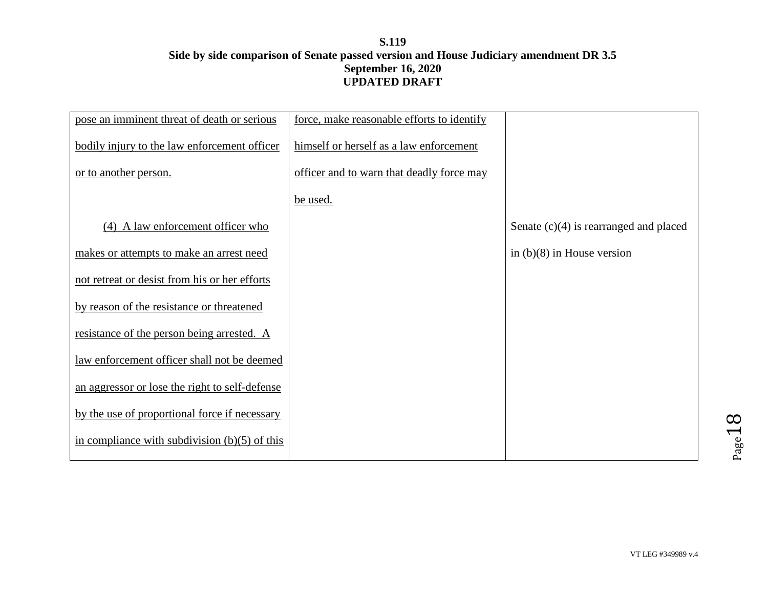| pose an imminent threat of death or serious     | force, make reasonable efforts to identify |                                          |
|-------------------------------------------------|--------------------------------------------|------------------------------------------|
| bodily injury to the law enforcement officer    | himself or herself as a law enforcement    |                                          |
| or to another person.                           | officer and to warn that deadly force may  |                                          |
|                                                 | be used.                                   |                                          |
| (4) A law enforcement officer who               |                                            | Senate $(c)(4)$ is rearranged and placed |
| makes or attempts to make an arrest need        |                                            | in $(b)(8)$ in House version             |
| not retreat or desist from his or her efforts   |                                            |                                          |
| by reason of the resistance or threatened       |                                            |                                          |
| resistance of the person being arrested. A      |                                            |                                          |
| law enforcement officer shall not be deemed     |                                            |                                          |
| an aggressor or lose the right to self-defense  |                                            |                                          |
| by the use of proportional force if necessary   |                                            |                                          |
| in compliance with subdivision $(b)(5)$ of this |                                            |                                          |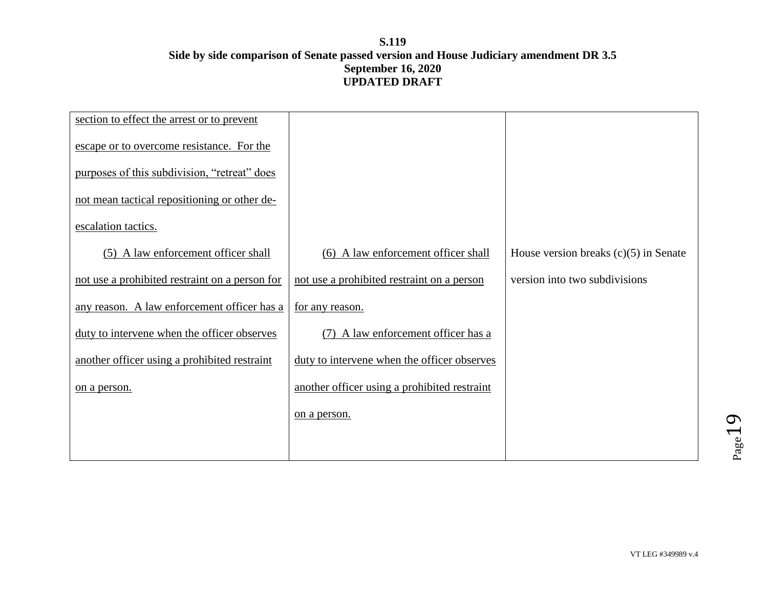| section to effect the arrest or to prevent     |                                              |                                         |
|------------------------------------------------|----------------------------------------------|-----------------------------------------|
| escape or to overcome resistance. For the      |                                              |                                         |
| purposes of this subdivision, "retreat" does   |                                              |                                         |
| not mean tactical repositioning or other de-   |                                              |                                         |
| escalation tactics.                            |                                              |                                         |
| (5) A law enforcement officer shall            | (6) A law enforcement officer shall          | House version breaks $(c)(5)$ in Senate |
| not use a prohibited restraint on a person for | not use a prohibited restraint on a person   | version into two subdivisions           |
| any reason. A law enforcement officer has a    | for any reason.                              |                                         |
| duty to intervene when the officer observes    | (7) A law enforcement officer has a          |                                         |
| another officer using a prohibited restraint   | duty to intervene when the officer observes  |                                         |
| on a person.                                   | another officer using a prohibited restraint |                                         |
|                                                | on a person.                                 |                                         |
|                                                |                                              |                                         |
|                                                |                                              |                                         |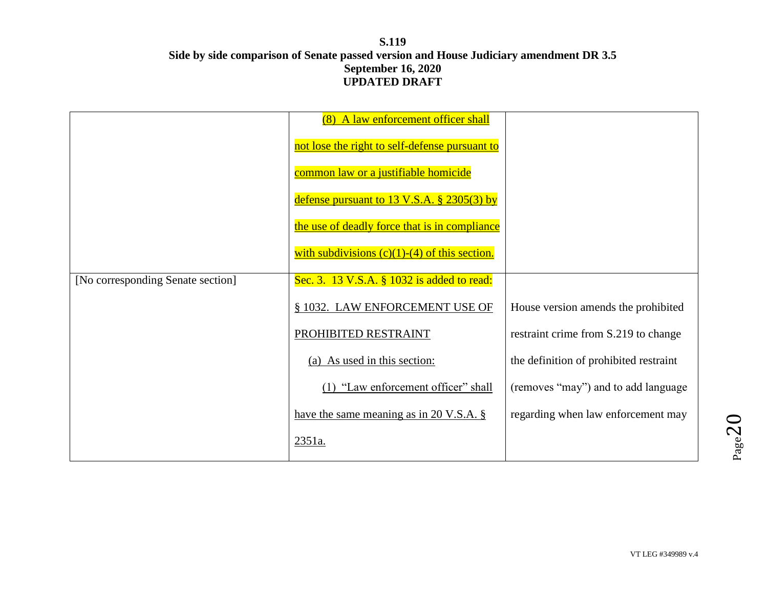|                                   | (8) A law enforcement officer shall                     |                                        |
|-----------------------------------|---------------------------------------------------------|----------------------------------------|
|                                   | not lose the right to self-defense pursuant to          |                                        |
|                                   | common law or a justifiable homicide                    |                                        |
|                                   | defense pursuant to $13 \text{ V.S.A.}$ \$ $2305(3)$ by |                                        |
|                                   | the use of deadly force that is in compliance           |                                        |
|                                   | with subdivisions $(c)(1)-(4)$ of this section.         |                                        |
| [No corresponding Senate section] | Sec. 3. 13 V.S.A. § 1032 is added to read:              |                                        |
|                                   | § 1032. LAW ENFORCEMENT USE OF                          | House version amends the prohibited    |
|                                   | PROHIBITED RESTRAINT                                    | restraint crime from S.219 to change   |
|                                   | (a) As used in this section:                            | the definition of prohibited restraint |
|                                   | (1) "Law enforcement officer" shall                     | (removes "may") and to add language    |
|                                   | have the same meaning as in $20$ V.S.A. §               | regarding when law enforcement may     |
|                                   | 2351a.                                                  |                                        |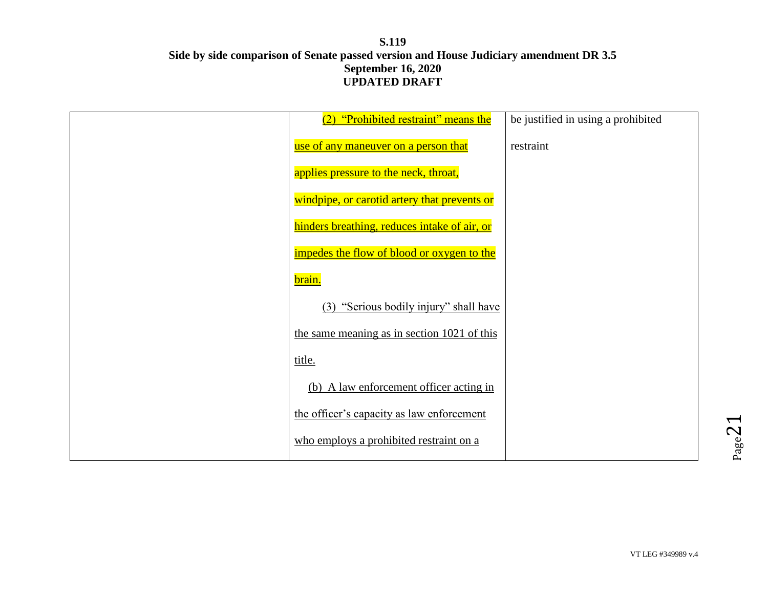| (2) "Prohibited restraint" means the         | be justified in using a prohibited |
|----------------------------------------------|------------------------------------|
| use of any maneuver on a person that         | restraint                          |
| applies pressure to the neck, throat,        |                                    |
| windpipe, or carotid artery that prevents or |                                    |
| hinders breathing, reduces intake of air, or |                                    |
| impedes the flow of blood or oxygen to the   |                                    |
| brain.                                       |                                    |
| "Serious bodily injury" shall have<br>(3)    |                                    |
| the same meaning as in section 1021 of this  |                                    |
| title.                                       |                                    |
| (b) A law enforcement officer acting in      |                                    |
| the officer's capacity as law enforcement    |                                    |
| who employs a prohibited restraint on a      |                                    |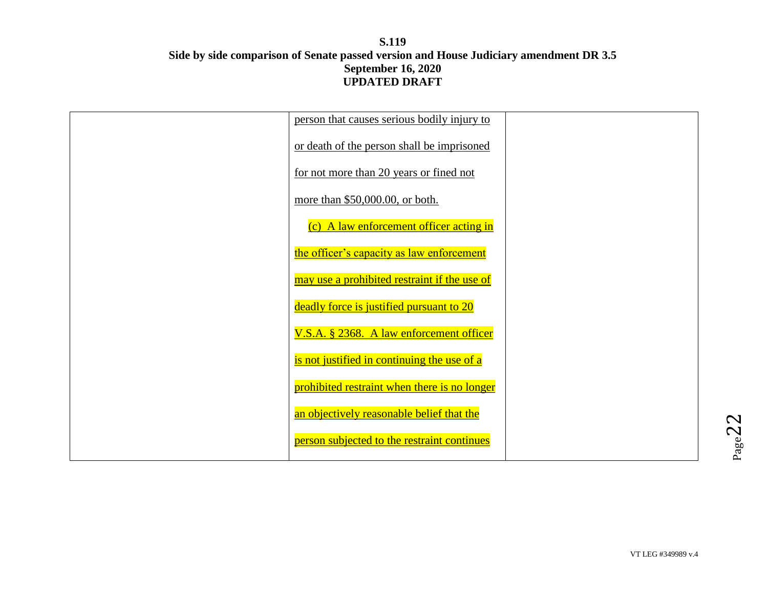| person that causes serious bodily injury to  |  |
|----------------------------------------------|--|
| or death of the person shall be imprisoned   |  |
| for not more than 20 years or fined not      |  |
| more than \$50,000.00, or both.              |  |
| (c) A law enforcement officer acting in      |  |
| the officer's capacity as law enforcement    |  |
| may use a prohibited restraint if the use of |  |
| deadly force is justified pursuant to 20     |  |
| V.S.A. § 2368. A law enforcement officer     |  |
| is not justified in continuing the use of a  |  |
| prohibited restraint when there is no longer |  |
| an objectively reasonable belief that the    |  |
| person subjected to the restraint continues  |  |
|                                              |  |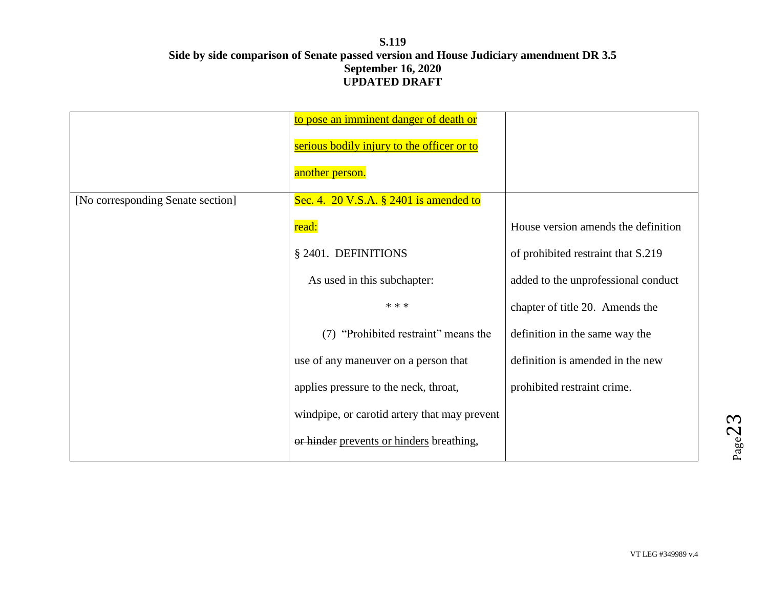|                                   | to pose an imminent danger of death or       |                                     |
|-----------------------------------|----------------------------------------------|-------------------------------------|
|                                   | serious bodily injury to the officer or to   |                                     |
|                                   | another person.                              |                                     |
| [No corresponding Senate section] | Sec. 4. 20 V.S.A. $\S$ 2401 is amended to    |                                     |
|                                   | read:                                        | House version amends the definition |
|                                   | § 2401. DEFINITIONS                          | of prohibited restraint that S.219  |
|                                   | As used in this subchapter:                  | added to the unprofessional conduct |
|                                   | * * *                                        | chapter of title 20. Amends the     |
|                                   | "Prohibited restraint" means the<br>(7)      | definition in the same way the      |
|                                   | use of any maneuver on a person that         | definition is amended in the new    |
|                                   | applies pressure to the neck, throat,        | prohibited restraint crime.         |
|                                   | windpipe, or carotid artery that may prevent |                                     |
|                                   | or hinder prevents or hinders breathing,     |                                     |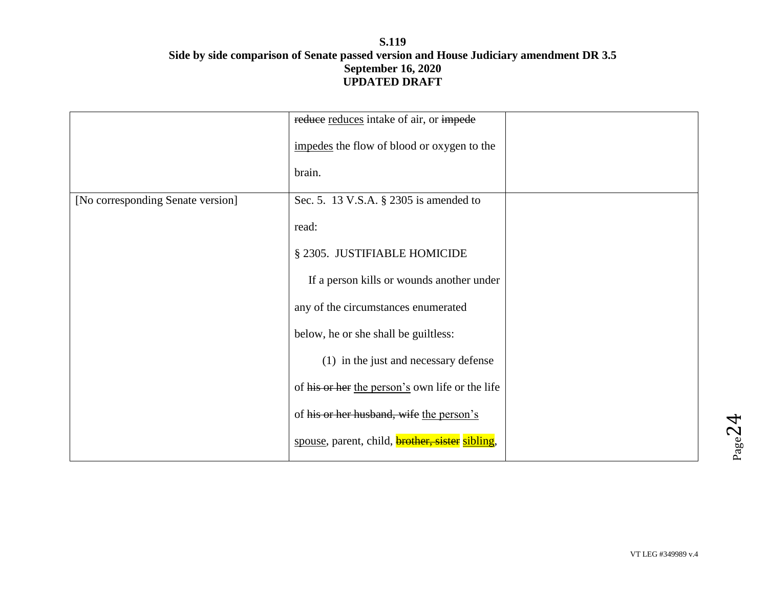|                                   | reduce reduces intake of air, or impede                |  |
|-----------------------------------|--------------------------------------------------------|--|
|                                   | impedes the flow of blood or oxygen to the             |  |
|                                   | brain.                                                 |  |
| [No corresponding Senate version] | Sec. 5. 13 V.S.A. § 2305 is amended to                 |  |
|                                   | read:                                                  |  |
|                                   | § 2305. JUSTIFIABLE HOMICIDE                           |  |
|                                   | If a person kills or wounds another under              |  |
|                                   | any of the circumstances enumerated                    |  |
|                                   | below, he or she shall be guiltless:                   |  |
|                                   | (1) in the just and necessary defense                  |  |
|                                   | of his or her the person's own life or the life        |  |
|                                   | of his or her husband, wife the person's               |  |
|                                   | spouse, parent, child, <b>brother, sister</b> sibling, |  |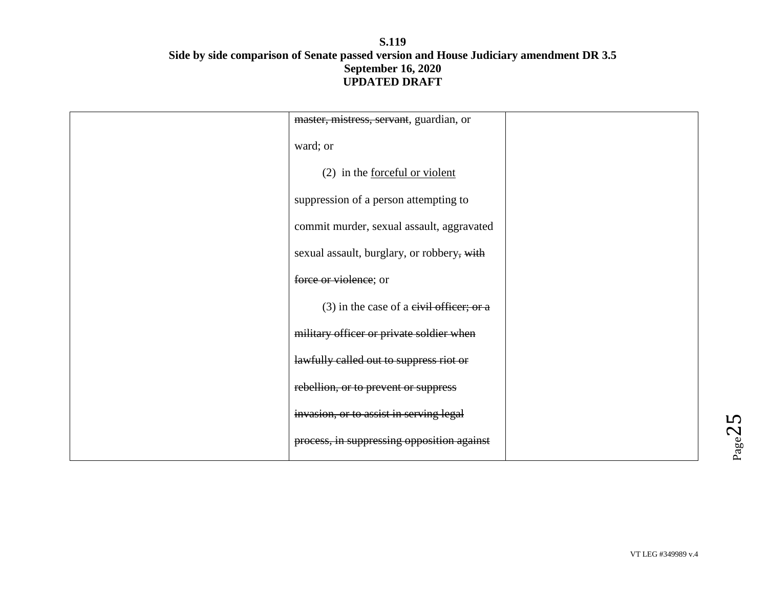| master, mistress, servant, guardian, or    |  |
|--------------------------------------------|--|
| ward; or                                   |  |
| (2) in the <u>forceful</u> or violent      |  |
| suppression of a person attempting to      |  |
| commit murder, sexual assault, aggravated  |  |
| sexual assault, burglary, or robbery, with |  |
| force or violence; or                      |  |
| $(3)$ in the case of a eivil officer; or a |  |
| military officer or private soldier when   |  |
| lawfully called out to suppress riot or    |  |
| rebellion, or to prevent or suppress       |  |
| invasion, or to assist in serving legal    |  |
| process, in suppressing opposition against |  |
|                                            |  |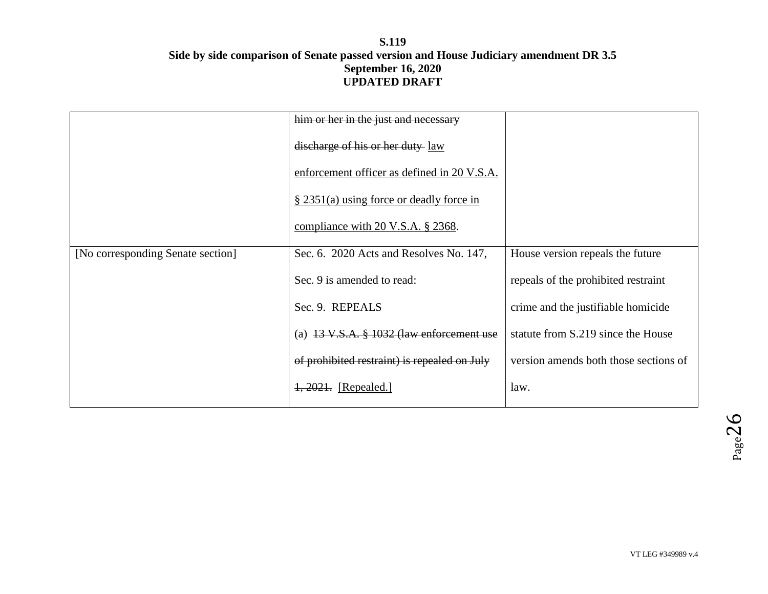|                                   | him or her in the just and necessary                  |                                       |
|-----------------------------------|-------------------------------------------------------|---------------------------------------|
|                                   | discharge of his or her duty law                      |                                       |
|                                   | enforcement officer as defined in 20 V.S.A.           |                                       |
|                                   | $\S$ 2351(a) using force or deadly force in           |                                       |
|                                   | compliance with 20 V.S.A. $\S$ 2368.                  |                                       |
| [No corresponding Senate section] | Sec. 6. 2020 Acts and Resolves No. 147,               | House version repeals the future      |
|                                   | Sec. 9 is amended to read:                            | repeals of the prohibited restraint   |
|                                   | Sec. 9. REPEALS                                       | crime and the justifiable homicide    |
|                                   | (a) $13 \text{ V.S.A. }$ \$ 1032 (law enforcement use | statute from S.219 since the House    |
|                                   | of prohibited restraint) is repealed on July          | version amends both those sections of |
|                                   | $1,2021.$ [Repealed.]                                 | law.                                  |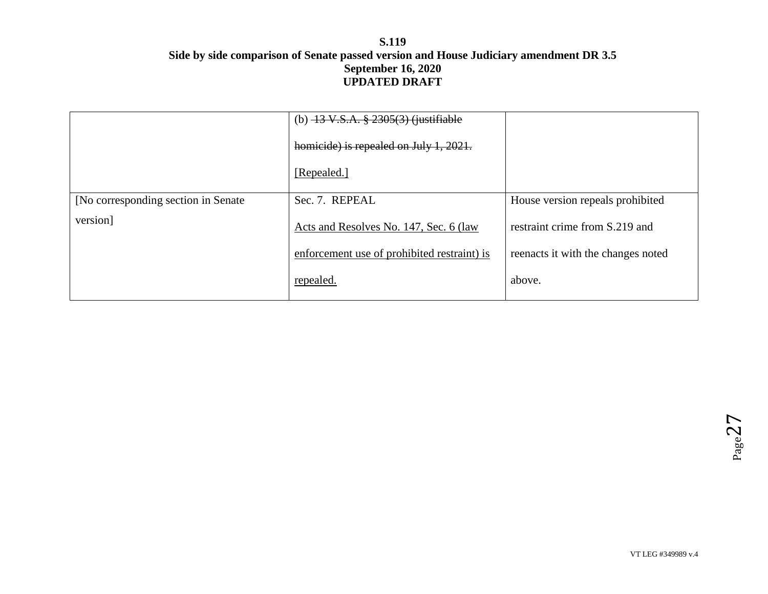|                                      | (b) $-13 \text{ V.S.A. }$ $\frac{8}{9}$ $2305(3)$ (justifiable |                                    |
|--------------------------------------|----------------------------------------------------------------|------------------------------------|
|                                      | homicide) is repealed on July 1, 2021.                         |                                    |
|                                      | [Repealed.]                                                    |                                    |
| [No corresponding section in Senate] | Sec. 7. REPEAL                                                 | House version repeals prohibited   |
| version]                             | Acts and Resolves No. 147, Sec. 6 (law)                        | restraint crime from S.219 and     |
|                                      | enforcement use of prohibited restraint) is                    | reenacts it with the changes noted |
|                                      | repealed.                                                      | above.                             |